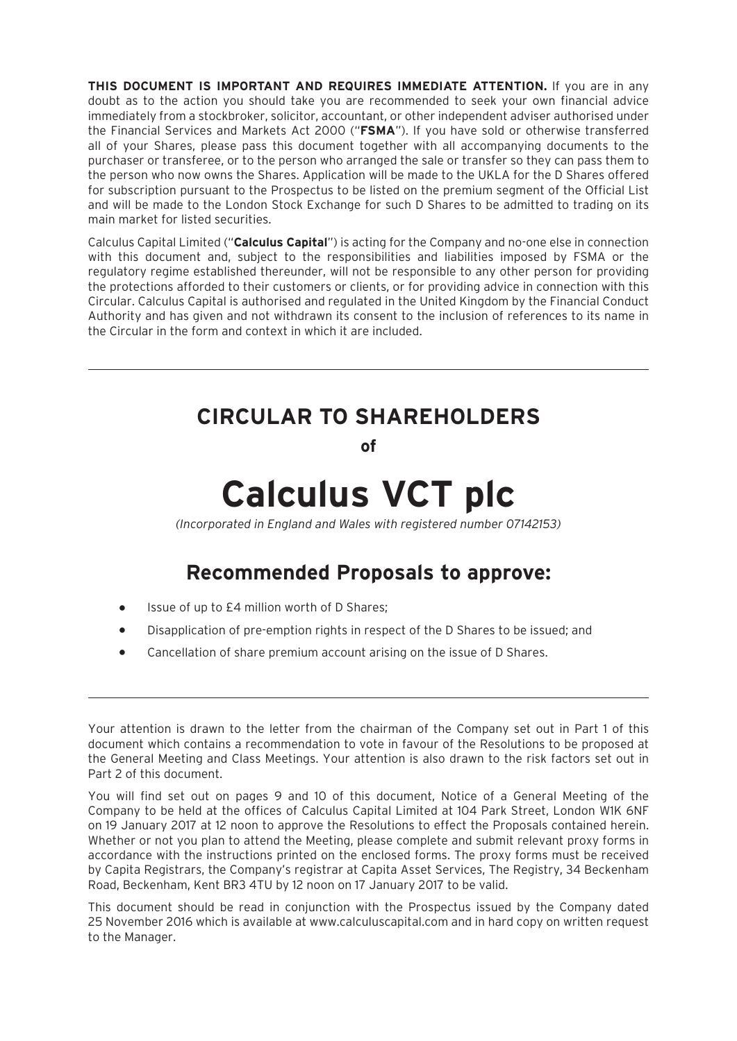**THIS DOCUMENT IS IMPORTANT AND REQUIRES IMMEDIATE ATTENTION.** If you are in any doubt as to the action you should take you are recommended to seek your own financial advice immediately from a stockbroker, solicitor, accountant, or other independent adviser authorised under the Financial Services and Markets Act 2000 ("**FSMA**"). If you have sold or otherwise transferred all of your Shares, please pass this document together with all accompanying documents to the purchaser or transferee, or to the person who arranged the sale or transfer so they can pass them to the person who now owns the Shares. Application will be made to the UKLA for the D Shares offered for subscription pursuant to the Prospectus to be listed on the premium segment of the Official List and will be made to the London Stock Exchange for such D Shares to be admitted to trading on its main market for listed securities.

Calculus Capital Limited ("**Calculus Capital**") is acting for the Company and no-one else in connection with this document and, subject to the responsibilities and liabilities imposed by FSMA or the regulatory regime established thereunder, will not be responsible to any other person for providing the protections afforded to their customers or clients, or for providing advice in connection with this Circular. Calculus Capital is authorised and regulated in the United Kingdom by the Financial Conduct Authority and has given and not withdrawn its consent to the inclusion of references to its name in the Circular in the form and context in which it are included.

# **CIRCULAR TO SHAREHOLDERS**

**of**

# **Calculus VCT plc**

*(Incorporated in England and Wales with registered number 07142153)*

# **Recommended Proposals to approve:**

- Issue of up to £4 million worth of D Shares:
- Disapplication of pre-emption rights in respect of the D Shares to be issued; and
- Cancellation of share premium account arising on the issue of D Shares.

You will find set out on pages 9 and 10 of this document, Notice of a General Meeting of the Company to be held at the offices of Calculus Capital Limited at 104 Park Street, London W1K 6NF on 19 January 2017 at 12 noon to approve the Resolutions to effect the Proposals contained herein. Whether or not you plan to attend the Meeting, please complete and submit relevant proxy forms in accordance with the instructions printed on the enclosed forms. The proxy forms must be received by Capita Registrars, the Company's registrar at Capita Asset Services, The Registry, 34 Beckenham Road, Beckenham, Kent BR3 4TU by 12 noon on 17 January 2017 to be valid.

This document should be read in conjunction with the Prospectus issued by the Company dated 25 November 2016 which is available at www.calculuscapital.com and in hard copy on written request to the Manager.

Your attention is drawn to the letter from the chairman of the Company set out in Part 1 of this document which contains a recommendation to vote in favour of the Resolutions to be proposed at the General Meeting and Class Meetings. Your attention is also drawn to the risk factors set out in Part 2 of this document.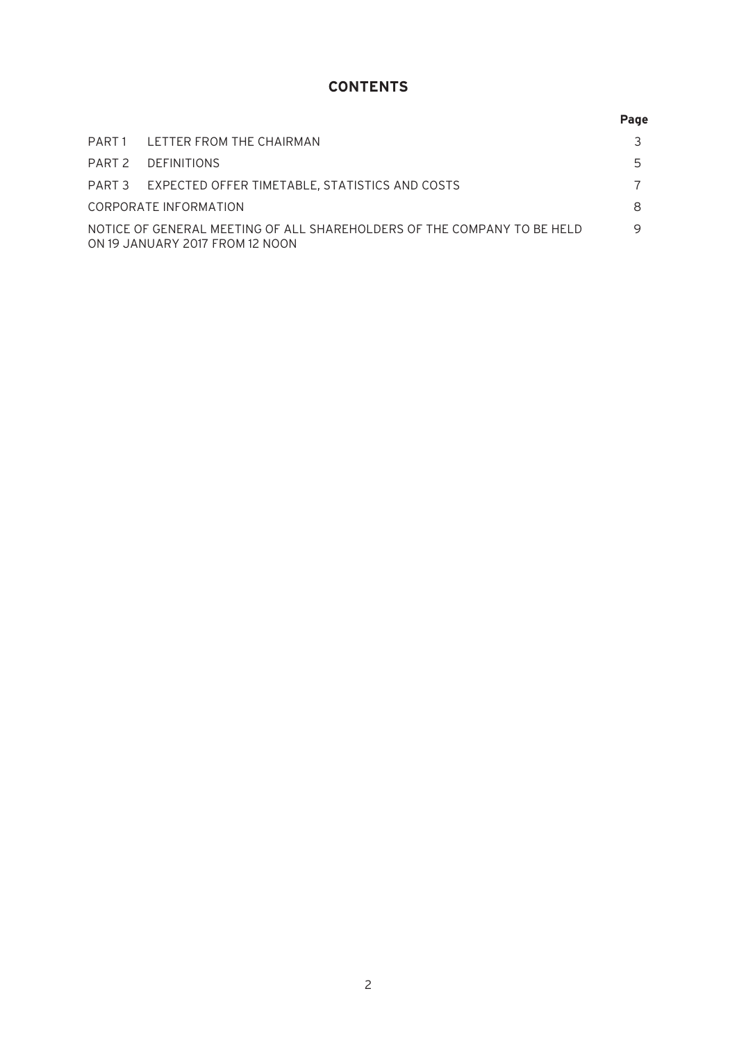# **CONTENTS**

|                                                                                                            |                                                       | Page |
|------------------------------------------------------------------------------------------------------------|-------------------------------------------------------|------|
|                                                                                                            | PART 1 LETTER FROM THE CHAIRMAN                       |      |
|                                                                                                            | PART 2 DEFINITIONS                                    | 5    |
|                                                                                                            | PART 3 EXPECTED OFFER TIMETABLE, STATISTICS AND COSTS |      |
| CORPORATE INFORMATION                                                                                      |                                                       |      |
| NOTICE OF GENERAL MEETING OF ALL SHAREHOLDERS OF THE COMPANY TO BE HELD<br>ON 19 JANUARY 2017 FROM 12 NOON |                                                       |      |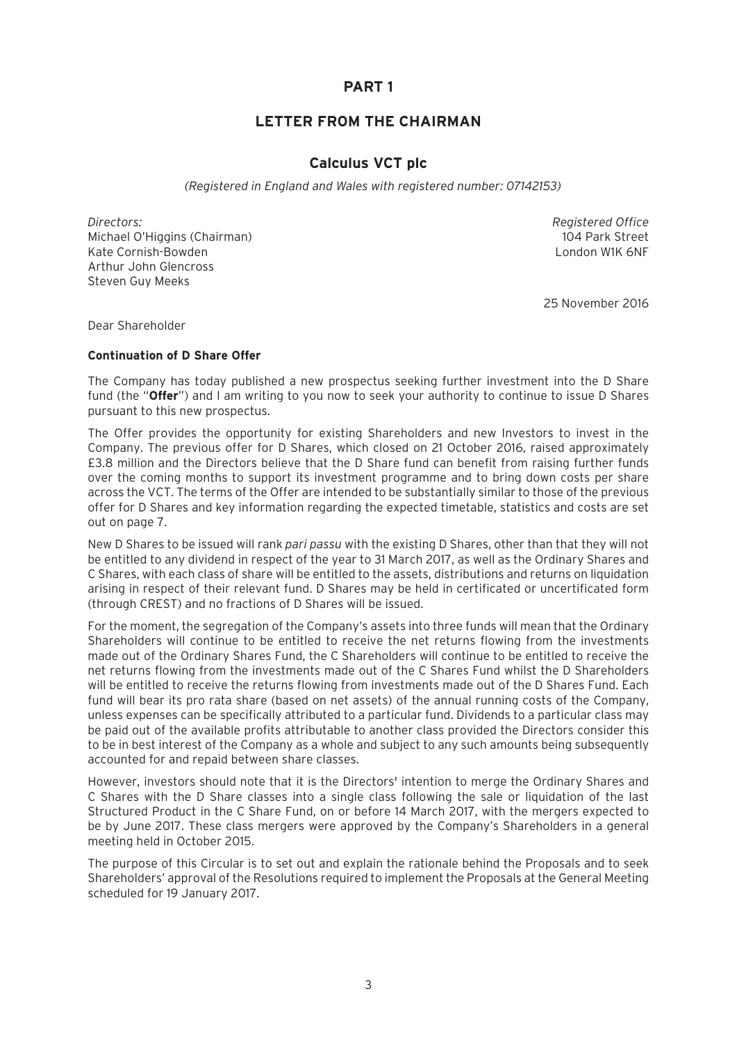# **PART 1**

# **LETTER FROM THE CHAIRMAN**

### **Calculus VCT plc**

 *(Registered in England and Wales with registered number: 07142153)* 

*Directors: Registered Office* Michael O'Higgins (Chairman) 104 Park Street Kate Cornish-Bowden London W1K 6NF Arthur John Glencross Steven Guy Meeks

25 November 2016

Dear Shareholder

#### **Continuation of D Share Offer**

The Company has today published a new prospectus seeking further investment into the D Share fund (the "**Offer**") and I am writing to you now to seek your authority to continue to issue D Shares pursuant to this new prospectus.

The Offer provides the opportunity for existing Shareholders and new Investors to invest in the Company. The previous offer for D Shares, which closed on 21 October 2016, raised approximately £3.8 million and the Directors believe that the D Share fund can benefit from raising further funds over the coming months to support its investment programme and to bring down costs per share across the VCT. The terms of the Offer are intended to be substantially similar to those of the previous offer for D Shares and key information regarding the expected timetable, statistics and costs are set out on page 7.

New D Shares to be issued will rank *pari passu* with the existing D Shares, other than that they will not be entitled to any dividend in respect of the year to 31 March 2017, as well as the Ordinary Shares and C Shares, with each class of share will be entitled to the assets, distributions and returns on liquidation arising in respect of their relevant fund. D Shares may be held in certificated or uncertificated form (through CREST) and no fractions of D Shares will be issued.

For the moment, the segregation of the Company's assets into three funds will mean that the Ordinary Shareholders will continue to be entitled to receive the net returns flowing from the investments made out of the Ordinary Shares Fund, the C Shareholders will continue to be entitled to receive the net returns flowing from the investments made out of the C Shares Fund whilst the D Shareholders will be entitled to receive the returns flowing from investments made out of the D Shares Fund. Each fund will bear its pro rata share (based on net assets) of the annual running costs of the Company, unless expenses can be specifically attributed to a particular fund. Dividends to a particular class may be paid out of the available profits attributable to another class provided the Directors consider this to be in best interest of the Company as a whole and subject to any such amounts being subsequently accounted for and repaid between share classes.

However, investors should note that it is the Directors' intention to merge the Ordinary Shares and C Shares with the D Share classes into a single class following the sale or liquidation of the last Structured Product in the C Share Fund, on or before 14 March 2017, with the mergers expected to be by June 2017. These class mergers were approved by the Company's Shareholders in a general meeting held in October 2015.

The purpose of this Circular is to set out and explain the rationale behind the Proposals and to seek Shareholders' approval of the Resolutions required to implement the Proposals at the General Meeting scheduled for 19 January 2017.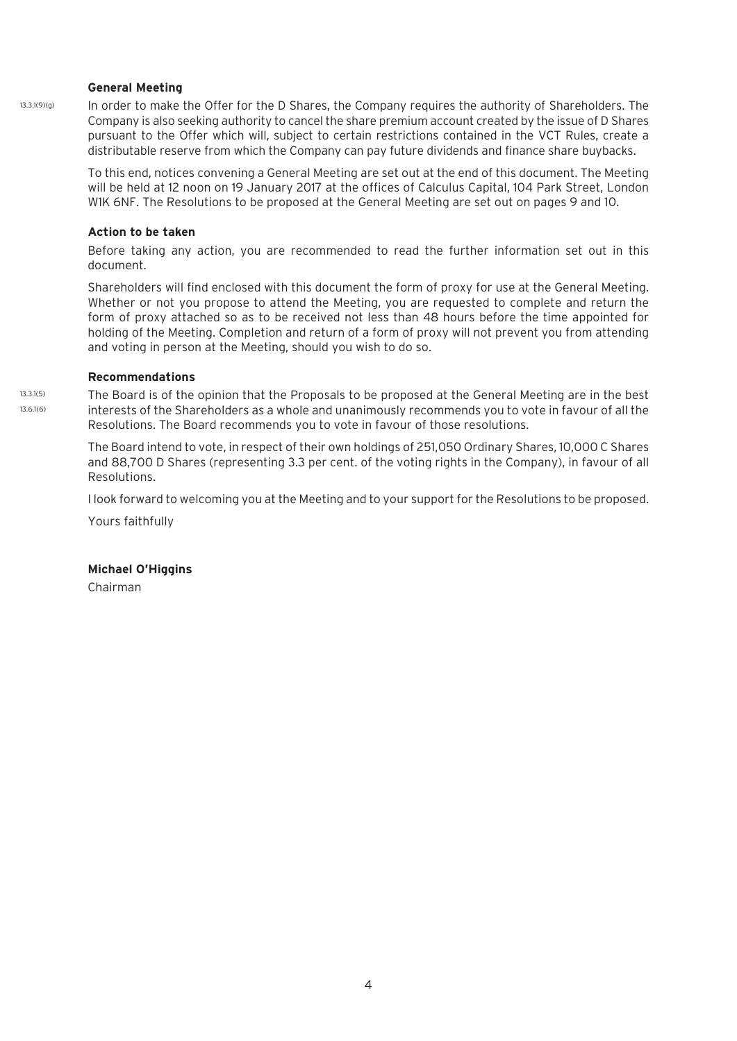#### **General Meeting**

In order to make the Offer for the D Shares, the Company requires the authority of Shareholders. The Company is also seeking authority to cancel the share premium account created by the issue of D Shares pursuant to the Offer which will, subject to certain restrictions contained in the VCT Rules, create a distributable reserve from which the Company can pay future dividends and finance share buybacks. 13.3.1(9)(g)

> To this end, notices convening a General Meeting are set out at the end of this document. The Meeting will be held at 12 noon on 19 January 2017 at the offices of Calculus Capital, 104 Park Street, London W1K 6NF. The Resolutions to be proposed at the General Meeting are set out on pages 9 and 10.

#### **Action to be taken**

Before taking any action, you are recommended to read the further information set out in this document.

Shareholders will find enclosed with this document the form of proxy for use at the General Meeting. Whether or not you propose to attend the Meeting, you are requested to complete and return the form of proxy attached so as to be received not less than 48 hours before the time appointed for holding of the Meeting. Completion and return of a form of proxy will not prevent you from attending and voting in person at the Meeting, should you wish to do so.

#### **Recommendations**

The Board is of the opinion that the Proposals to be proposed at the General Meeting are in the best interests of the Shareholders as a whole and unanimously recommends you to vote in favour of all the Resolutions. The Board recommends you to vote in favour of those resolutions. 13.3.1(5) 13.6.1(6)

> The Board intend to vote, in respect of their own holdings of 251,050 Ordinary Shares, 10,000 C Shares and 88,700 D Shares (representing 3.3 per cent. of the voting rights in the Company), in favour of all Resolutions.

> I look forward to welcoming you at the Meeting and to your support for the Resolutions to be proposed.

Yours faithfully

#### **Michael O'Higgins**

Chairman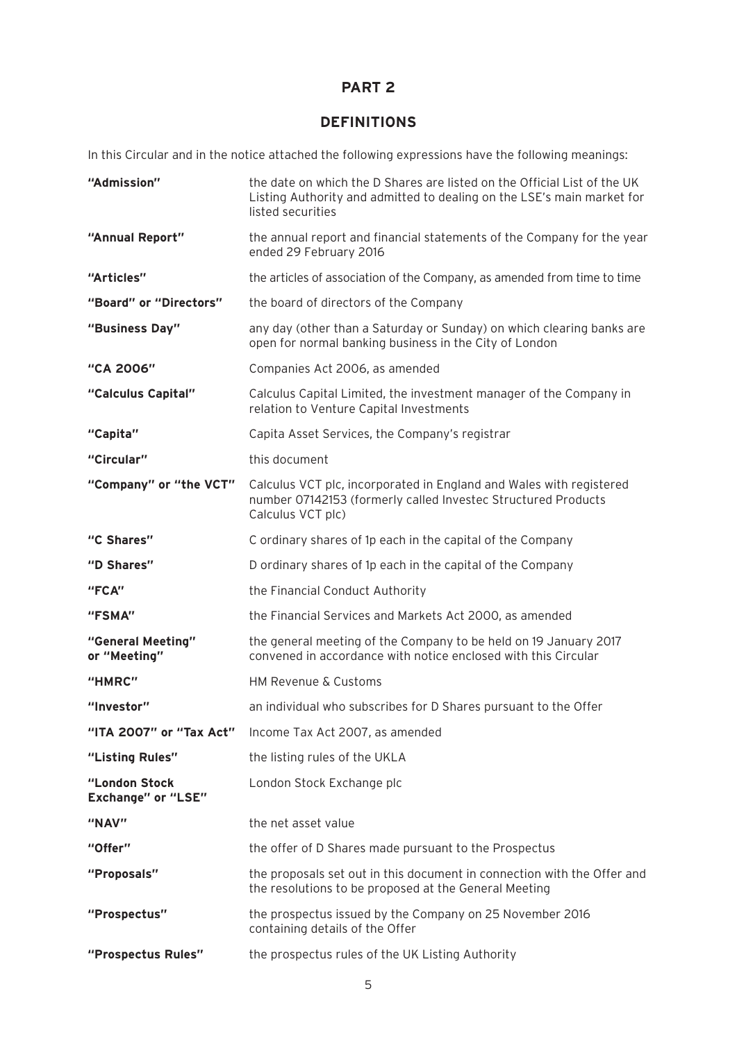# **PART 2**

# **DEFINITIONS**

In this Circular and in the notice attached the following expressions have the following meanings:

| "Admission"                                | the date on which the D Shares are listed on the Official List of the UK<br>Listing Authority and admitted to dealing on the LSE's main market for<br>listed securities |
|--------------------------------------------|-------------------------------------------------------------------------------------------------------------------------------------------------------------------------|
| "Annual Report"                            | the annual report and financial statements of the Company for the year<br>ended 29 February 2016                                                                        |
| "Articles"                                 | the articles of association of the Company, as amended from time to time                                                                                                |
| "Board" or "Directors"                     | the board of directors of the Company                                                                                                                                   |
| "Business Day"                             | any day (other than a Saturday or Sunday) on which clearing banks are<br>open for normal banking business in the City of London                                         |
| "CA 2006"                                  | Companies Act 2006, as amended                                                                                                                                          |
| "Calculus Capital"                         | Calculus Capital Limited, the investment manager of the Company in<br>relation to Venture Capital Investments                                                           |
| "Capita"                                   | Capita Asset Services, the Company's registrar                                                                                                                          |
| "Circular"                                 | this document                                                                                                                                                           |
| "Company" or "the VCT"                     | Calculus VCT plc, incorporated in England and Wales with registered<br>number 07142153 (formerly called Investec Structured Products<br>Calculus VCT plc)               |
| "C Shares"                                 | C ordinary shares of 1p each in the capital of the Company                                                                                                              |
| "D Shares"                                 | D ordinary shares of 1p each in the capital of the Company                                                                                                              |
| "FCA"                                      | the Financial Conduct Authority                                                                                                                                         |
| "FSMA"                                     | the Financial Services and Markets Act 2000, as amended                                                                                                                 |
| "General Meeting"<br>or "Meeting"          | the general meeting of the Company to be held on 19 January 2017<br>convened in accordance with notice enclosed with this Circular                                      |
| "HMRC"                                     | HM Revenue & Customs                                                                                                                                                    |
| "Investor"                                 | an individual who subscribes for D Shares pursuant to the Offer                                                                                                         |
| "ITA 2007" or "Tax Act"                    | Income Tax Act 2007, as amended                                                                                                                                         |
| "Listing Rules"                            | the listing rules of the UKLA                                                                                                                                           |
| "London Stock<br><b>Exchange" or "LSE"</b> | London Stock Exchange plc                                                                                                                                               |
| "NAV"                                      | the net asset value                                                                                                                                                     |
| "Offer"                                    | the offer of D Shares made pursuant to the Prospectus                                                                                                                   |
| "Proposals"                                | the proposals set out in this document in connection with the Offer and<br>the resolutions to be proposed at the General Meeting                                        |
| "Prospectus"                               | the prospectus issued by the Company on 25 November 2016<br>containing details of the Offer                                                                             |
| "Prospectus Rules"                         | the prospectus rules of the UK Listing Authority                                                                                                                        |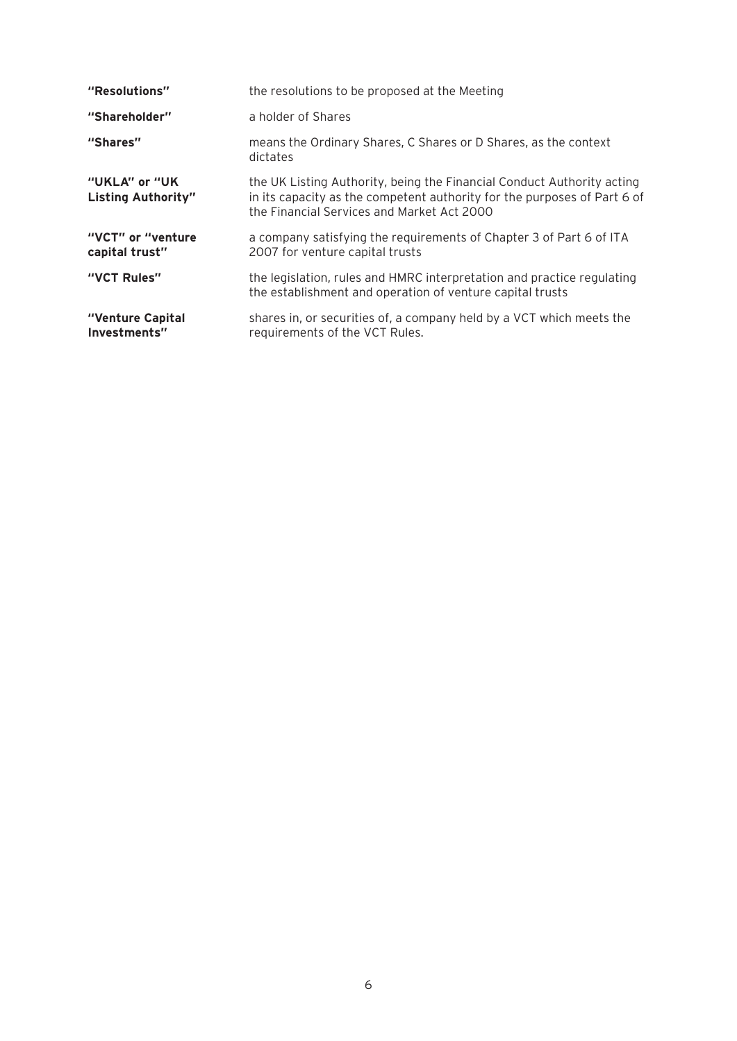| "Resolutions"                              | the resolutions to be proposed at the Meeting                                                                                                                                                    |
|--------------------------------------------|--------------------------------------------------------------------------------------------------------------------------------------------------------------------------------------------------|
| "Shareholder"                              | a holder of Shares                                                                                                                                                                               |
| "Shares"                                   | means the Ordinary Shares, C Shares or D Shares, as the context<br>dictates                                                                                                                      |
| "UKLA" or "UK<br><b>Listing Authority"</b> | the UK Listing Authority, being the Financial Conduct Authority acting<br>in its capacity as the competent authority for the purposes of Part 6 of<br>the Financial Services and Market Act 2000 |
| "VCT" or "venture"<br>capital trust"       | a company satisfying the requirements of Chapter 3 of Part 6 of ITA<br>2007 for venture capital trusts                                                                                           |
| "VCT Rules"                                | the legislation, rules and HMRC interpretation and practice regulating<br>the establishment and operation of venture capital trusts                                                              |
| "Venture Capital<br>Investments"           | shares in, or securities of, a company held by a VCT which meets the<br>requirements of the VCT Rules.                                                                                           |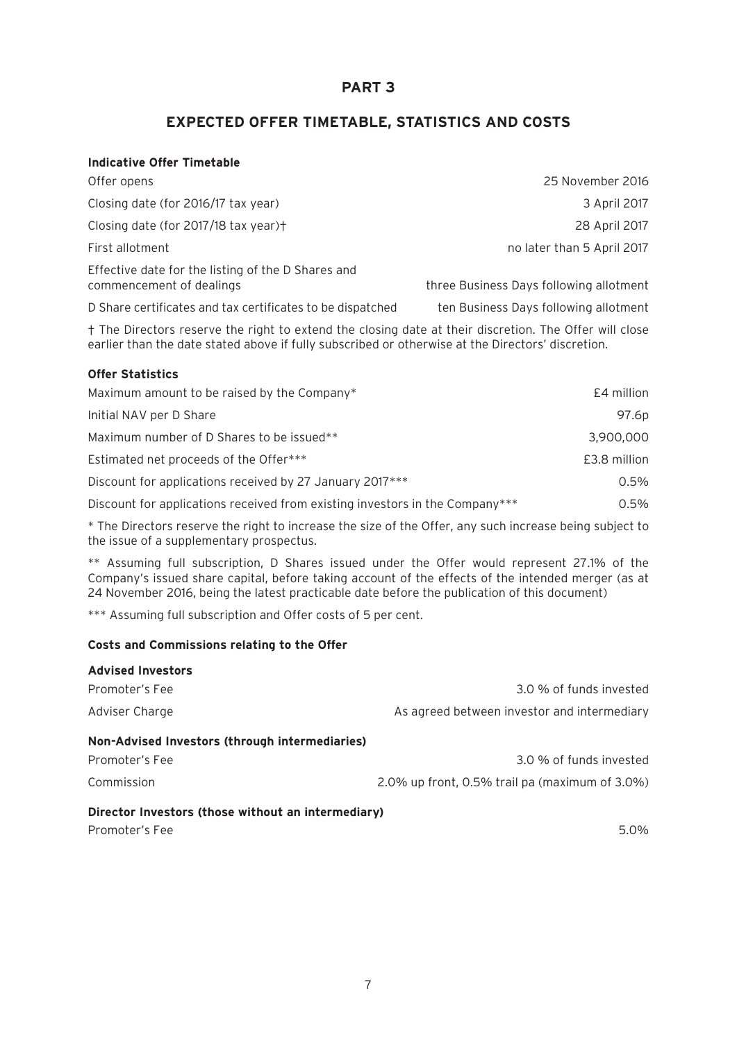# **PART 3**

# **EXPECTED OFFER TIMETABLE, STATISTICS AND COSTS**

| <b>Indicative Offer Timetable</b>                                                                                                                                                                           |                                         |  |  |  |
|-------------------------------------------------------------------------------------------------------------------------------------------------------------------------------------------------------------|-----------------------------------------|--|--|--|
| Offer opens                                                                                                                                                                                                 | 25 November 2016                        |  |  |  |
| Closing date (for 2016/17 tax year)                                                                                                                                                                         | 3 April 2017                            |  |  |  |
| Closing date (for 2017/18 tax year)+                                                                                                                                                                        | 28 April 2017                           |  |  |  |
| First allotment                                                                                                                                                                                             | no later than 5 April 2017              |  |  |  |
| Effective date for the listing of the D Shares and<br>commencement of dealings                                                                                                                              | three Business Days following allotment |  |  |  |
| D Share certificates and tax certificates to be dispatched                                                                                                                                                  | ten Business Days following allotment   |  |  |  |
| † The Directors reserve the right to extend the closing date at their discretion. The Offer will close<br>earlier than the date stated above if fully subscribed or otherwise at the Directors' discretion. |                                         |  |  |  |
| <b>Offer Statistics</b>                                                                                                                                                                                     |                                         |  |  |  |
| Maximum amount to be raised by the Company*                                                                                                                                                                 | £4 million                              |  |  |  |
| Initial NAV per D Share                                                                                                                                                                                     | 97.6p                                   |  |  |  |
| Maximum number of D Shares to be issued**                                                                                                                                                                   | 3,900,000                               |  |  |  |
| Estimated net proceeds of the Offer***                                                                                                                                                                      | £3.8 million                            |  |  |  |
| Discount for applications received by 27 January 2017***                                                                                                                                                    |                                         |  |  |  |
| Discount for applications received from existing investors in the Company***                                                                                                                                |                                         |  |  |  |

\* The Directors reserve the right to increase the size of the Offer, any such increase being subject to the issue of a supplementary prospectus.

\*\* Assuming full subscription, D Shares issued under the Offer would represent 27.1% of the Company's issued share capital, before taking account of the effects of the intended merger (as at 24 November 2016, being the latest practicable date before the publication of this document)

\*\*\* Assuming full subscription and Offer costs of 5 per cent.

#### **Costs and Commissions relating to the Offer**

| <b>Advised Investors</b>                           |                                                   |  |  |  |
|----------------------------------------------------|---------------------------------------------------|--|--|--|
| Promoter's Fee                                     | 3.0 % of funds invested                           |  |  |  |
| Adviser Charge                                     | As agreed between investor and intermediary       |  |  |  |
| Non-Advised Investors (through intermediaries)     |                                                   |  |  |  |
| Promoter's Fee                                     | 3.0 % of funds invested                           |  |  |  |
| Commission                                         | $2.0\%$ up front, 0.5% trail pa (maximum of 3.0%) |  |  |  |
| Director Investors (those without an intermediary) |                                                   |  |  |  |
| Promoter's Fee                                     | 5.0%                                              |  |  |  |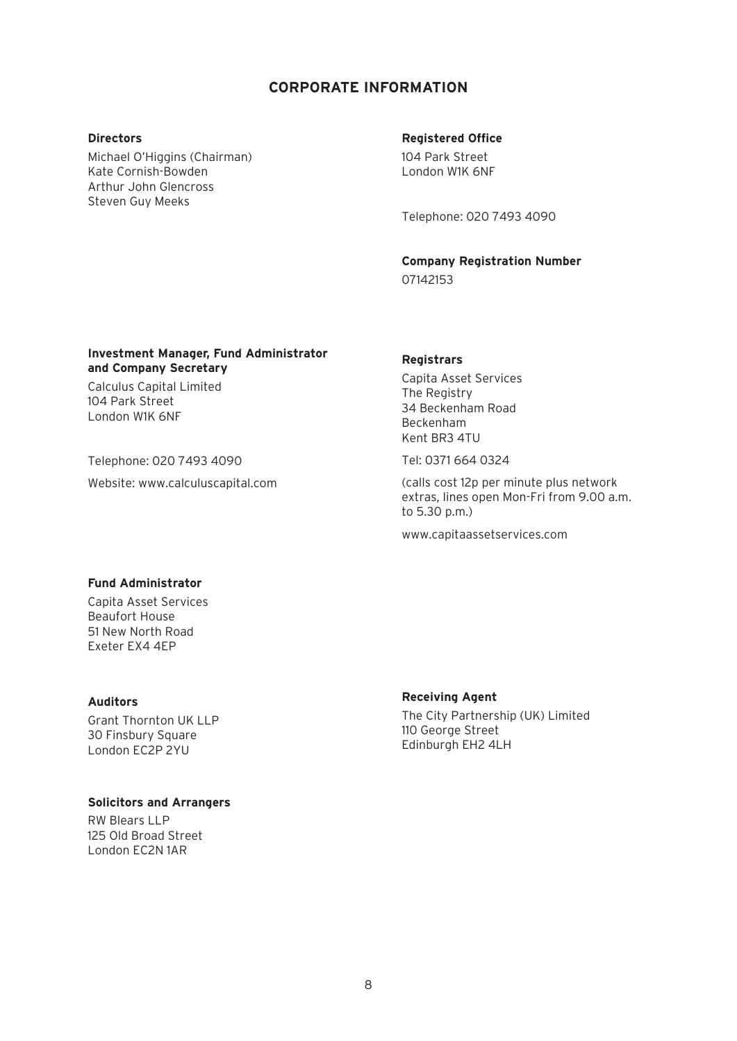## **CORPORATE INFORMATION**

#### **Directors**

Michael O'Higgins (Chairman) Kate Cornish-Bowden Arthur John Glencross Steven Guy Meeks

#### **Registered Office**

104 Park Street London W1K 6NF

Telephone: 020 7493 4090

**Company Registration Number** 07142153

#### **Investment Manager, Fund Administrator and Company Secretary**

Calculus Capital Limited 104 Park Street London W1K 6NF

Telephone: 020 7493 4090

Website: www.calculuscapital.com

#### **Registrars**

Capita Asset Services The Registry 34 Beckenham Road Beckenham Kent BR3 4TU

Tel: 0371 664 0324

(calls cost 12p per minute plus network extras, lines open Mon-Fri from 9.00 a.m. to 5.30 p.m.)

www.capitaassetservices.com

#### **Fund Administrator**

Capita Asset Services Beaufort House 51 New North Road Exeter EX4 4EP

#### **Auditors**

Grant Thornton UK LLP 30 Finsbury Square London EC2P 2YU

#### **Solicitors and Arrangers**

RW Blears LLP 125 Old Broad Street London EC2N 1AR

#### **Receiving Agent**

The City Partnership (UK) Limited 110 George Street Edinburgh EH2 4LH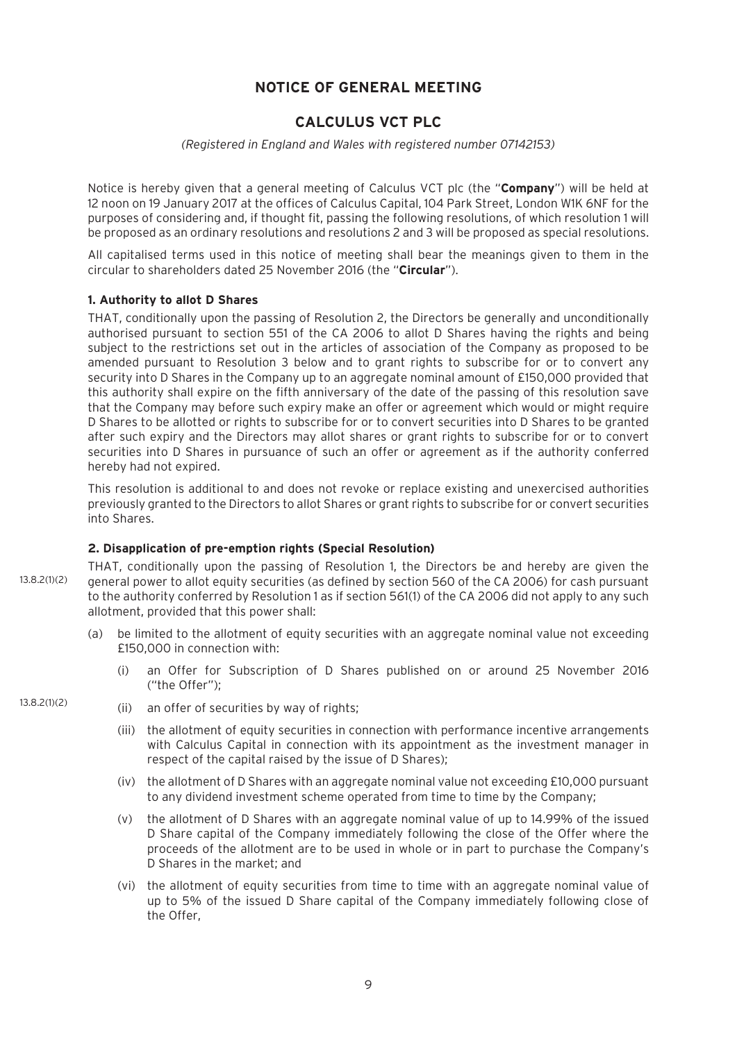## **NOTICE OF GENERAL MEETING**

# **CALCULUS VCT PLC**

#### *(Registered in England and Wales with registered number 07142153)*

Notice is hereby given that a general meeting of Calculus VCT plc (the "**Company**") will be held at 12 noon on 19 January 2017 at the offices of Calculus Capital, 104 Park Street, London W1K 6NF for the purposes of considering and, if thought fit, passing the following resolutions, of which resolution 1 will be proposed as an ordinary resolutions and resolutions 2 and 3 will be proposed as special resolutions.

All capitalised terms used in this notice of meeting shall bear the meanings given to them in the circular to shareholders dated 25 November 2016 (the "**Circular**").

#### **1. Authority to allot D Shares**

THAT, conditionally upon the passing of Resolution 2, the Directors be generally and unconditionally authorised pursuant to section 551 of the CA 2006 to allot D Shares having the rights and being subject to the restrictions set out in the articles of association of the Company as proposed to be amended pursuant to Resolution 3 below and to grant rights to subscribe for or to convert any security into D Shares in the Company up to an aggregate nominal amount of £150,000 provided that this authority shall expire on the fifth anniversary of the date of the passing of this resolution save that the Company may before such expiry make an offer or agreement which would or might require D Shares to be allotted or rights to subscribe for or to convert securities into D Shares to be granted after such expiry and the Directors may allot shares or grant rights to subscribe for or to convert securities into D Shares in pursuance of such an offer or agreement as if the authority conferred hereby had not expired.

This resolution is additional to and does not revoke or replace existing and unexercised authorities previously granted to the Directors to allot Shares or grant rights to subscribe for or convert securities into Shares.

#### **2. Disapplication of pre-emption rights (Special Resolution)**

THAT, conditionally upon the passing of Resolution 1, the Directors be and hereby are given the general power to allot equity securities (as defined by section 560 of the CA 2006) for cash pursuant to the authority conferred by Resolution 1 as if section 561(1) of the CA 2006 did not apply to any such allotment, provided that this power shall: 13.8.2(1)(2)

- (a) be limited to the allotment of equity securities with an aggregate nominal value not exceeding £150,000 in connection with:
	- (i) an Offer for Subscription of D Shares published on or around 25 November 2016 ("the Offer");

#### 13.8.2(1)(2)

- (ii) an offer of securities by way of rights;
	- (iii) the allotment of equity securities in connection with performance incentive arrangements with Calculus Capital in connection with its appointment as the investment manager in respect of the capital raised by the issue of D Shares);
	- (iv) the allotment of D Shares with an aggregate nominal value not exceeding £10,000 pursuant to any dividend investment scheme operated from time to time by the Company;
	- (v) the allotment of D Shares with an aggregate nominal value of up to 14.99% of the issued D Share capital of the Company immediately following the close of the Offer where the proceeds of the allotment are to be used in whole or in part to purchase the Company's D Shares in the market; and
	- (vi) the allotment of equity securities from time to time with an aggregate nominal value of up to 5% of the issued D Share capital of the Company immediately following close of the Offer,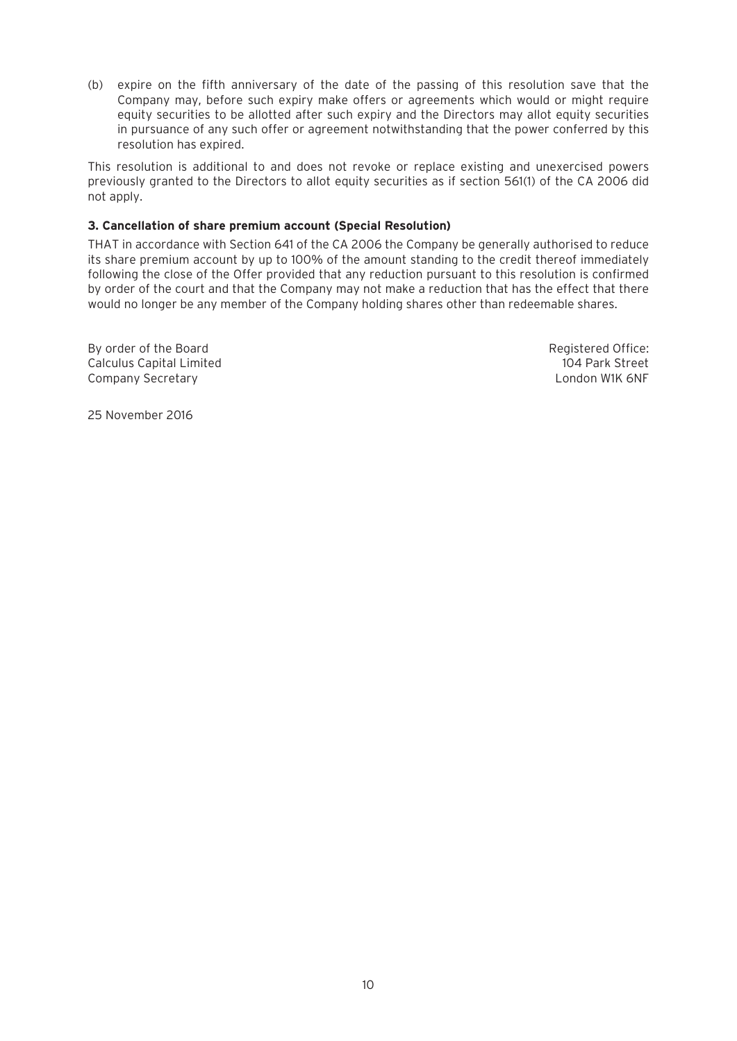(b) expire on the fifth anniversary of the date of the passing of this resolution save that the Company may, before such expiry make offers or agreements which would or might require equity securities to be allotted after such expiry and the Directors may allot equity securities in pursuance of any such offer or agreement notwithstanding that the power conferred by this resolution has expired.

This resolution is additional to and does not revoke or replace existing and unexercised powers previously granted to the Directors to allot equity securities as if section 561(1) of the CA 2006 did not apply.

#### **3. Cancellation of share premium account (Special Resolution)**

THAT in accordance with Section 641 of the CA 2006 the Company be generally authorised to reduce its share premium account by up to 100% of the amount standing to the credit thereof immediately following the close of the Offer provided that any reduction pursuant to this resolution is confirmed by order of the court and that the Company may not make a reduction that has the effect that there would no longer be any member of the Company holding shares other than redeemable shares.

By order of the Board Registered Office: Calculus Capital Limited 104 Park Street Company Secretary London W1K 6NF

25 November 2016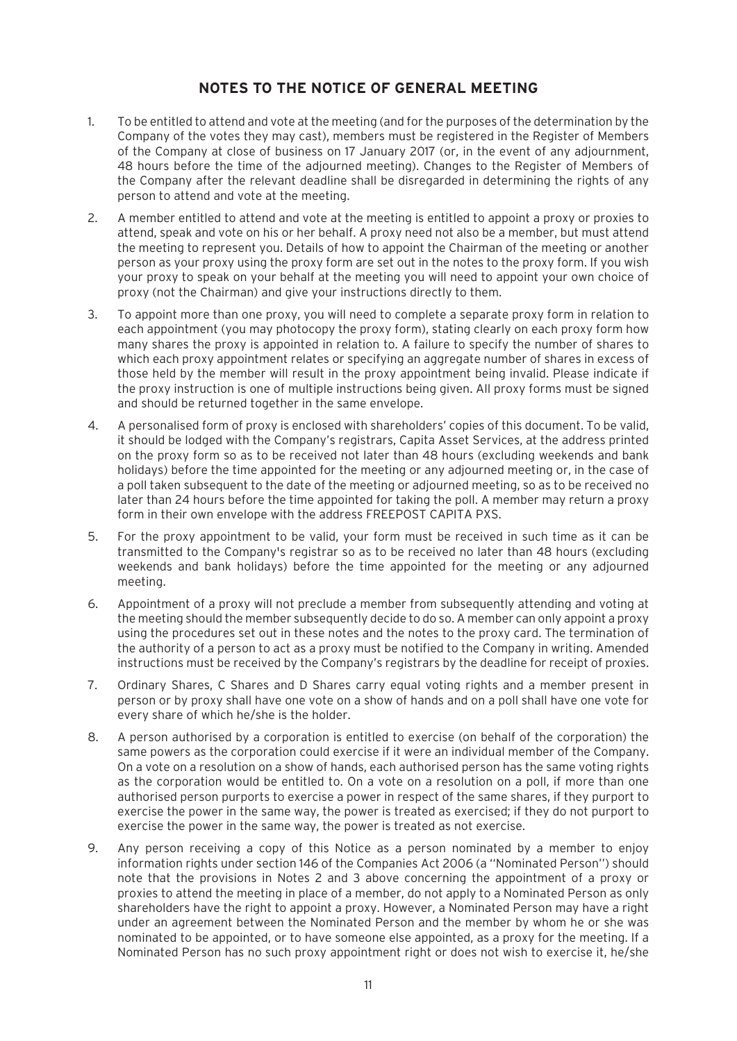# **NOTES TO THE NOTICE OF GENERAL MEETING**

- 1. To be entitled to attend and vote at the meeting (and for the purposes of the determination by the Company of the votes they may cast), members must be registered in the Register of Members of the Company at close of business on 17 January 2017 (or, in the event of any adjournment, 48 hours before the time of the adjourned meeting). Changes to the Register of Members of the Company after the relevant deadline shall be disregarded in determining the rights of any person to attend and vote at the meeting.
- 2. A member entitled to attend and vote at the meeting is entitled to appoint a proxy or proxies to attend, speak and vote on his or her behalf. A proxy need not also be a member, but must attend the meeting to represent you. Details of how to appoint the Chairman of the meeting or another person as your proxy using the proxy form are set out in the notes to the proxy form. If you wish your proxy to speak on your behalf at the meeting you will need to appoint your own choice of proxy (not the Chairman) and give your instructions directly to them.
- 3. To appoint more than one proxy, you will need to complete a separate proxy form in relation to each appointment (you may photocopy the proxy form), stating clearly on each proxy form how many shares the proxy is appointed in relation to. A failure to specify the number of shares to which each proxy appointment relates or specifying an aggregate number of shares in excess of those held by the member will result in the proxy appointment being invalid. Please indicate if the proxy instruction is one of multiple instructions being given. All proxy forms must be signed and should be returned together in the same envelope.
- 4. A personalised form of proxy is enclosed with shareholders' copies of this document. To be valid, it should be lodged with the Company's registrars, Capita Asset Services, at the address printed on the proxy form so as to be received not later than 48 hours (excluding weekends and bank holidays) before the time appointed for the meeting or any adjourned meeting or, in the case of a poll taken subsequent to the date of the meeting or adjourned meeting, so as to be received no later than 24 hours before the time appointed for taking the poll. A member may return a proxy form in their own envelope with the address FREEPOST CAPITA PXS.
- 5. For the proxy appointment to be valid, your form must be received in such time as it can be transmitted to the Company's registrar so as to be received no later than 48 hours (excluding weekends and bank holidays) before the time appointed for the meeting or any adjourned meeting.
- 6. Appointment of a proxy will not preclude a member from subsequently attending and voting at the meeting should the member subsequently decide to do so. A member can only appoint a proxy using the procedures set out in these notes and the notes to the proxy card. The termination of the authority of a person to act as a proxy must be notified to the Company in writing. Amended instructions must be received by the Company's registrars by the deadline for receipt of proxies.
- 7. Ordinary Shares, C Shares and D Shares carry equal voting rights and a member present in person or by proxy shall have one vote on a show of hands and on a poll shall have one vote for every share of which he/she is the holder.
- 8. A person authorised by a corporation is entitled to exercise (on behalf of the corporation) the same powers as the corporation could exercise if it were an individual member of the Company. On a vote on a resolution on a show of hands, each authorised person has the same voting rights as the corporation would be entitled to. On a vote on a resolution on a poll, if more than one authorised person purports to exercise a power in respect of the same shares, if they purport to exercise the power in the same way, the power is treated as exercised; if they do not purport to exercise the power in the same way, the power is treated as not exercise.
- 9. Any person receiving a copy of this Notice as a person nominated by a member to enjoy information rights under section 146 of the Companies Act 2006 (a ''Nominated Person'') should note that the provisions in Notes 2 and 3 above concerning the appointment of a proxy or proxies to attend the meeting in place of a member, do not apply to a Nominated Person as only shareholders have the right to appoint a proxy. However, a Nominated Person may have a right under an agreement between the Nominated Person and the member by whom he or she was nominated to be appointed, or to have someone else appointed, as a proxy for the meeting. If a Nominated Person has no such proxy appointment right or does not wish to exercise it, he/she